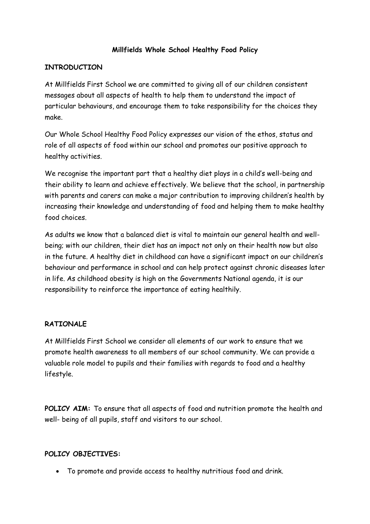## **Millfields Whole School Healthy Food Policy**

#### **INTRODUCTION**

At Millfields First School we are committed to giving all of our children consistent messages about all aspects of health to help them to understand the impact of particular behaviours, and encourage them to take responsibility for the choices they make.

Our Whole School Healthy Food Policy expresses our vision of the ethos, status and role of all aspects of food within our school and promotes our positive approach to healthy activities.

We recognise the important part that a healthy diet plays in a child's well-being and their ability to learn and achieve effectively. We believe that the school, in partnership with parents and carers can make a major contribution to improving children's health by increasing their knowledge and understanding of food and helping them to make healthy food choices.

As adults we know that a balanced diet is vital to maintain our general health and wellbeing; with our children, their diet has an impact not only on their health now but also in the future. A healthy diet in childhood can have a significant impact on our children's behaviour and performance in school and can help protect against chronic diseases later in life. As childhood obesity is high on the Governments National agenda, it is our responsibility to reinforce the importance of eating healthily.

#### **RATIONALE**

At Millfields First School we consider all elements of our work to ensure that we promote health awareness to all members of our school community. We can provide a valuable role model to pupils and their families with regards to food and a healthy lifestyle.

**POLICY AIM:** To ensure that all aspects of food and nutrition promote the health and well- being of all pupils, staff and visitors to our school.

#### **POLICY OBJECTIVES:**

To promote and provide access to healthy nutritious food and drink.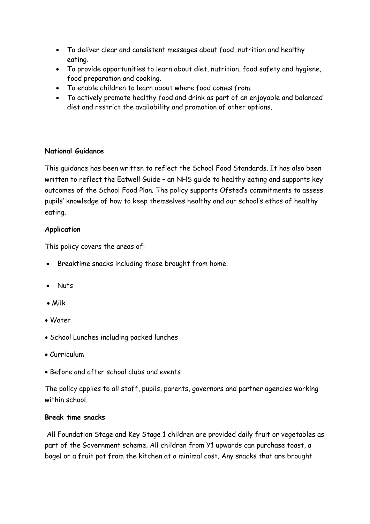- To deliver clear and consistent messages about food, nutrition and healthy eating.
- To provide opportunities to learn about diet, nutrition, food safety and hygiene, food preparation and cooking.
- To enable children to learn about where food comes from.
- To actively promote healthy food and drink as part of an enjoyable and balanced diet and restrict the availability and promotion of other options.

# **National Guidance**

This guidance has been written to reflect the School Food Standards. It has also been written to reflect the Eatwell Guide – an NHS guide to healthy eating and supports key outcomes of the School Food Plan. The policy supports Ofsted's commitments to assess pupils' knowledge of how to keep themselves healthy and our school's ethos of healthy eating.

## **Application**

This policy covers the areas of:

- Breaktime snacks including those brought from home.
- Nuts
- Milk
- Water
- School Lunches including packed lunches
- Curriculum
- Before and after school clubs and events

The policy applies to all staff, pupils, parents, governors and partner agencies working within school

# **Break time snacks**

All Foundation Stage and Key Stage 1 children are provided daily fruit or vegetables as part of the Government scheme. All children from Y1 upwards can purchase toast, a bagel or a fruit pot from the kitchen at a minimal cost. Any snacks that are brought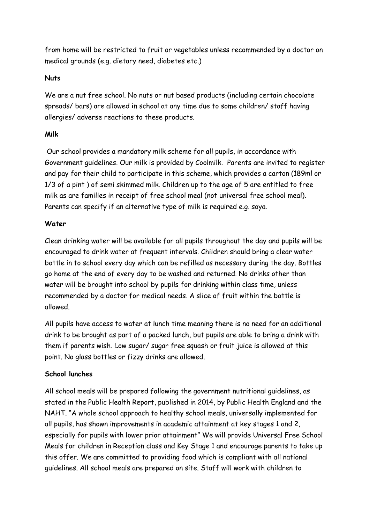from home will be restricted to fruit or vegetables unless recommended by a doctor on medical grounds (e.g. dietary need, diabetes etc.)

## **Nuts**

We are a nut free school. No nuts or nut based products (including certain chocolate spreads/ bars) are allowed in school at any time due to some children/ staff having allergies/ adverse reactions to these products.

## **Milk**

Our school provides a mandatory milk scheme for all pupils, in accordance with Government guidelines. Our milk is provided by Coolmilk. Parents are invited to register and pay for their child to participate in this scheme, which provides a carton (189ml or 1/3 of a pint ) of semi skimmed milk. Children up to the age of 5 are entitled to free milk as are families in receipt of free school meal (not universal free school meal). Parents can specify if an alternative type of milk is required e.g. soya.

# **Water**

Clean drinking water will be available for all pupils throughout the day and pupils will be encouraged to drink water at frequent intervals. Children should bring a clear water bottle in to school every day which can be refilled as necessary during the day. Bottles go home at the end of every day to be washed and returned. No drinks other than water will be brought into school by pupils for drinking within class time, unless recommended by a doctor for medical needs. A slice of fruit within the bottle is allowed.

All pupils have access to water at lunch time meaning there is no need for an additional drink to be brought as part of a packed lunch, but pupils are able to bring a drink with them if parents wish. Low sugar/ sugar free squash or fruit juice is allowed at this point. No glass bottles or fizzy drinks are allowed.

# **School lunches**

All school meals will be prepared following the government nutritional guidelines, as stated in the Public Health Report, published in 2014, by Public Health England and the NAHT. "A whole school approach to healthy school meals, universally implemented for all pupils, has shown improvements in academic attainment at key stages 1 and 2, especially for pupils with lower prior attainment" We will provide Universal Free School Meals for children in Reception class and Key Stage 1 and encourage parents to take up this offer. We are committed to providing food which is compliant with all national guidelines. All school meals are prepared on site. Staff will work with children to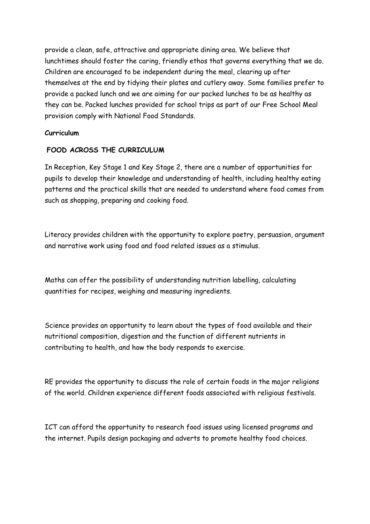provide a clean, safe, attractive and appropriate dining area. We believe that lunchtimes should foster the caring, friendly ethos that governs everything that we do. Children are encouraged to be independent during the meal, clearing up after themselves at the end by tidying their plates and cutlery away. Some families prefer to provide a packed lunch and we are aiming for our packed lunches to be as healthy as they can be. Packed lunches provided for school trips as part of our Free School Meal provision comply with National Food Standards.

#### **Curriculum**

#### **FOOD ACROSS THE CURRICULUM**

In Reception, Key Stage 1 and Key Stage 2, there are a number of opportunities for pupils to develop their knowledge and understanding of health, including healthy eating patterns and the practical skills that are needed to understand where food comes from such as shopping, preparing and cooking food.

Literacy provides children with the opportunity to explore poetry, persuasion, argument and narrative work using food and food related issues as a stimulus.

Maths can offer the possibility of understanding nutrition labelling, calculating quantities for recipes, weighing and measuring ingredients.

Science provides an opportunity to learn about the types of food available and their nutritional composition, digestion and the function of different nutrients in contributing to health, and how the body responds to exercise.

RE provides the opportunity to discuss the role of certain foods in the major religions of the world. Children experience different foods associated with religious festivals.

ICT can afford the opportunity to research food issues using licensed programs and the internet. Pupils design packaging and adverts to promote healthy food choices.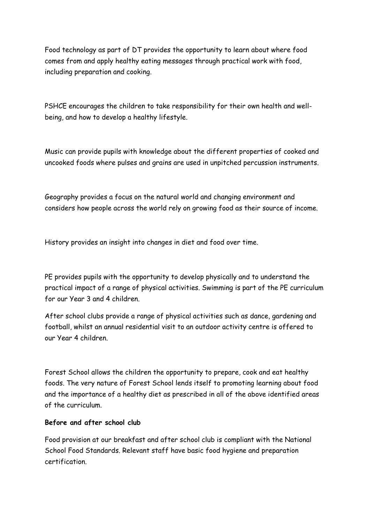Food technology as part of DT provides the opportunity to learn about where food comes from and apply healthy eating messages through practical work with food, including preparation and cooking.

PSHCE encourages the children to take responsibility for their own health and wellbeing, and how to develop a healthy lifestyle.

Music can provide pupils with knowledge about the different properties of cooked and uncooked foods where pulses and grains are used in unpitched percussion instruments.

Geography provides a focus on the natural world and changing environment and considers how people across the world rely on growing food as their source of income.

History provides an insight into changes in diet and food over time.

PE provides pupils with the opportunity to develop physically and to understand the practical impact of a range of physical activities. Swimming is part of the PE curriculum for our Year 3 and 4 children.

After school clubs provide a range of physical activities such as dance, gardening and football, whilst an annual residential visit to an outdoor activity centre is offered to our Year 4 children.

Forest School allows the children the opportunity to prepare, cook and eat healthy foods. The very nature of Forest School lends itself to promoting learning about food and the importance of a healthy diet as prescribed in all of the above identified areas of the curriculum.

# **Before and after school club**

Food provision at our breakfast and after school club is compliant with the National School Food Standards. Relevant staff have basic food hygiene and preparation certification.